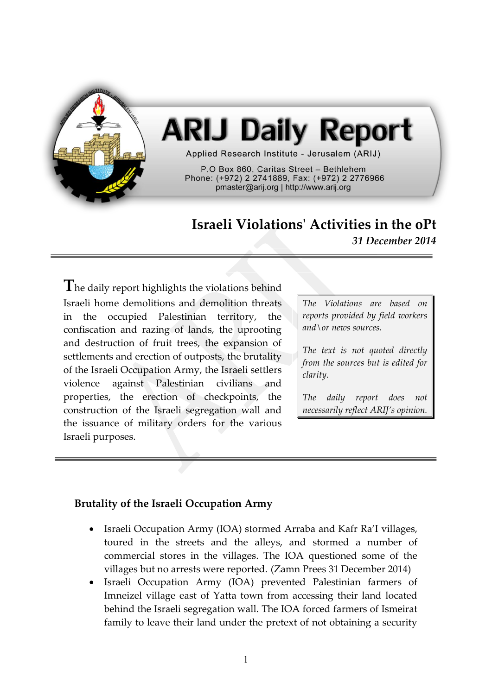

# **ARIJ Daily Report**

Applied Research Institute - Jerusalem (ARIJ)

P.O Box 860. Caritas Street - Bethlehem Phone: (+972) 2 2741889, Fax: (+972) 2 2776966 pmaster@arij.org | http://www.arij.org

## **Israeli Violations' Activities in the oPt** *31 December 2014*

The daily report highlights the violations behind Israeli home demolitions and demolition threats in the occupied Palestinian territory, the confiscation and razing of lands, the uprooting and destruction of fruit trees, the expansion of settlements and erection of outposts, the brutality of the Israeli Occupation Army, the Israeli settlers violence against Palestinian civilians and properties, the erection of checkpoints, the construction of the Israeli segregation wall and the issuance of military orders for the various Israeli purposes.

*The Violations are based on reports provided by field workers and\or news sources.*

*The text is not quoted directly from the sources but is edited for clarity.*

*The daily report does not necessarily reflect ARIJ's opinion.*

### **Brutality of the Israeli Occupation Army**

- Israeli Occupation Army (IOA) stormed Arraba and Kafr Ra'I villages, toured in the streets and the alleys, and stormed a number of commercial stores in the villages. The IOA questioned some of the villages but no arrests were reported. (Zamn Prees 31 December 2014)
- Israeli Occupation Army (IOA) prevented Palestinian farmers of Imneizel village east of Yatta town from accessing their land located behind the Israeli segregation wall. The IOA forced farmers of Ismeirat family to leave their land under the pretext of not obtaining a security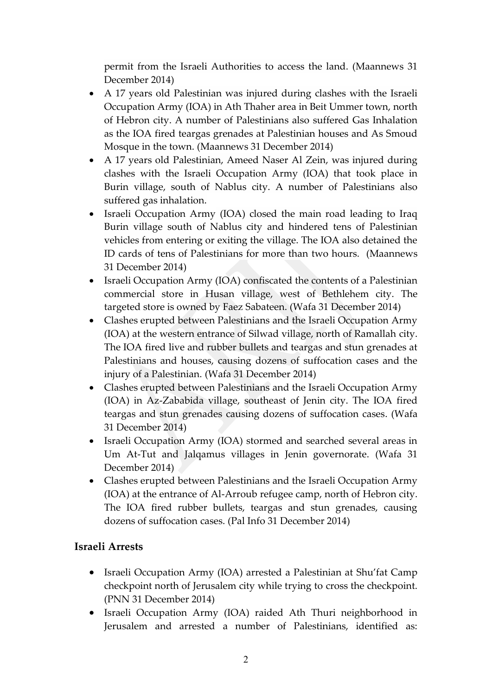permit from the Israeli Authorities to access the land. (Maannews 31 December 2014)

- A 17 years old Palestinian was injured during clashes with the Israeli Occupation Army (IOA) in Ath Thaher area in Beit Ummer town, north of Hebron city. A number of Palestinians also suffered Gas Inhalation as the IOA fired teargas grenades at Palestinian houses and As Smoud Mosque in the town. (Maannews 31 December 2014)
- A 17 years old Palestinian, Ameed Naser Al Zein, was injured during clashes with the Israeli Occupation Army (IOA) that took place in Burin village, south of Nablus city. A number of Palestinians also suffered gas inhalation.
- Israeli Occupation Army (IOA) closed the main road leading to Iraq Burin village south of Nablus city and hindered tens of Palestinian vehicles from entering or exiting the village. The IOA also detained the ID cards of tens of Palestinians for more than two hours. (Maannews 31 December 2014)
- Israeli Occupation Army (IOA) confiscated the contents of a Palestinian commercial store in Husan village, west of Bethlehem city. The targeted store is owned by Faez Sabateen. (Wafa 31 December 2014)
- Clashes erupted between Palestinians and the Israeli Occupation Army (IOA) at the western entrance of Silwad village, north of Ramallah city. The IOA fired live and rubber bullets and teargas and stun grenades at Palestinians and houses, causing dozens of suffocation cases and the injury of a Palestinian. (Wafa 31 December 2014)
- Clashes erupted between Palestinians and the Israeli Occupation Army (IOA) in Az-Zababida village, southeast of Jenin city. The IOA fired teargas and stun grenades causing dozens of suffocation cases. (Wafa 31 December 2014)
- Israeli Occupation Army (IOA) stormed and searched several areas in Um At-Tut and Jalqamus villages in Jenin governorate. (Wafa 31 December 2014)
- Clashes erupted between Palestinians and the Israeli Occupation Army (IOA) at the entrance of Al-Arroub refugee camp, north of Hebron city. The IOA fired rubber bullets, teargas and stun grenades, causing dozens of suffocation cases. (Pal Info 31 December 2014)

### **Israeli Arrests**

- Israeli Occupation Army (IOA) arrested a Palestinian at Shu'fat Camp checkpoint north of Jerusalem city while trying to cross the checkpoint. (PNN 31 December 2014)
- Israeli Occupation Army (IOA) raided Ath Thuri neighborhood in Jerusalem and arrested a number of Palestinians, identified as: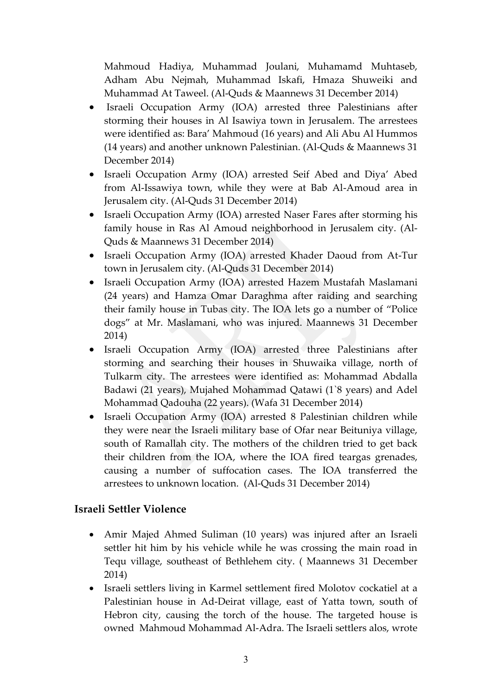Mahmoud Hadiya, Muhammad Joulani, Muhamamd Muhtaseb, Adham Abu Nejmah, Muhammad Iskafi, Hmaza Shuweiki and Muhammad At Taweel. (Al-Quds & Maannews 31 December 2014)

- Israeli Occupation Army (IOA) arrested three Palestinians after storming their houses in Al Isawiya town in Jerusalem. The arrestees were identified as: Bara' Mahmoud (16 years) and Ali Abu Al Hummos (14 years) and another unknown Palestinian. (Al-Quds & Maannews 31 December 2014)
- Israeli Occupation Army (IOA) arrested Seif Abed and Diya' Abed from Al-Issawiya town, while they were at Bab Al-Amoud area in Jerusalem city. (Al-Quds 31 December 2014)
- Israeli Occupation Army (IOA) arrested Naser Fares after storming his family house in Ras Al Amoud neighborhood in Jerusalem city. (Al-Quds & Maannews 31 December 2014)
- Israeli Occupation Army (IOA) arrested Khader Daoud from At-Tur town in Jerusalem city. (Al-Quds 31 December 2014)
- Israeli Occupation Army (IOA) arrested Hazem Mustafah Maslamani (24 years) and Hamza Omar Daraghma after raiding and searching their family house in Tubas city. The IOA lets go a number of "Police dogs" at Mr. Maslamani, who was injured. Maannews 31 December 2014)
- Israeli Occupation Army (IOA) arrested three Palestinians after storming and searching their houses in Shuwaika village, north of Tulkarm city. The arrestees were identified as: Mohammad Abdalla Badawi (21 years), Mujahed Mohammad Qatawi (1`8 years) and Adel Mohammad Qadouha (22 years). (Wafa 31 December 2014)
- Israeli Occupation Army (IOA) arrested 8 Palestinian children while they were near the Israeli military base of Ofar near Beituniya village, south of Ramallah city. The mothers of the children tried to get back their children from the IOA, where the IOA fired teargas grenades, causing a number of suffocation cases. The IOA transferred the arrestees to unknown location. (Al-Quds 31 December 2014)

### **Israeli Settler Violence**

- Amir Majed Ahmed Suliman (10 years) was injured after an Israeli settler hit him by his vehicle while he was crossing the main road in Tequ village, southeast of Bethlehem city. ( Maannews 31 December 2014)
- Israeli settlers living in Karmel settlement fired Molotov cockatiel at a Palestinian house in Ad-Deirat village, east of Yatta town, south of Hebron city, causing the torch of the house. The targeted house is owned Mahmoud Mohammad Al-Adra. The Israeli settlers alos, wrote